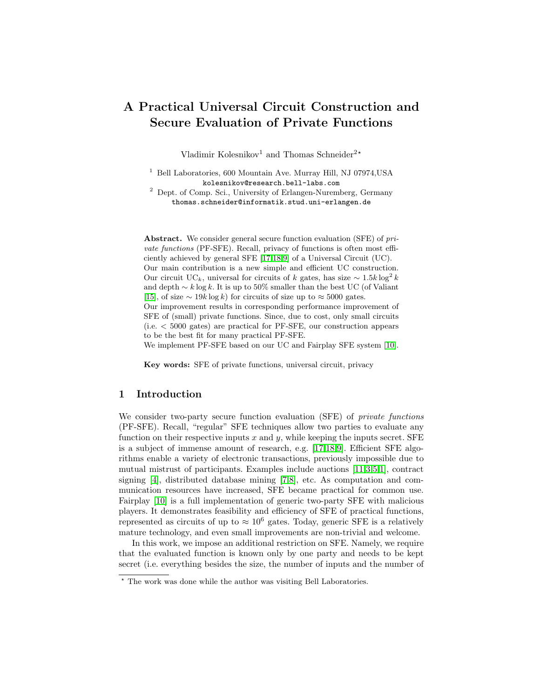# A Practical Universal Circuit Construction and Secure Evaluation of Private Functions

Vladimir Kolesnikov<sup>1</sup> and Thomas Schneider<sup>2\*</sup>

<sup>1</sup> Bell Laboratories, 600 Mountain Ave. Murray Hill, NJ 07974, USA kolesnikov@research.bell-labs.com

<sup>2</sup> Dept. of Comp. Sci., University of Erlangen-Nuremberg, Germany thomas.schneider@informatik.stud.uni-erlangen.de

Abstract. We consider general secure function evaluation (SFE) of private functions (PF-SFE). Recall, privacy of functions is often most efficiently achieved by general SFE [\[17](#page-14-0)[,18,](#page-14-1)[9\]](#page-14-2) of a Universal Circuit (UC). Our main contribution is a new simple and efficient UC construction. Our circuit UC<sub>k</sub>, universal for circuits of k gates, has size  $\sim 1.5k \log^2 k$ and depth  $\sim k \log k$ . It is up to 50% smaller than the best UC (of Valiant [\[15\]](#page-14-3), of size  $\sim 19k \log k$ ) for circuits of size up to  $\approx 5000$  gates. Our improvement results in corresponding performance improvement of SFE of (small) private functions. Since, due to cost, only small circuits (i.e. < 5000 gates) are practical for PF-SFE, our construction appears to be the best fit for many practical PF-SFE.

We implement PF-SFE based on our UC and Fairplay SFE system [\[10\]](#page-14-4).

Key words: SFE of private functions, universal circuit, privacy

### 1 Introduction

We consider two-party secure function evaluation (SFE) of *private functions* (PF-SFE). Recall, "regular" SFE techniques allow two parties to evaluate any function on their respective inputs  $x$  and  $y$ , while keeping the inputs secret. SFE is a subject of immense amount of research, e.g. [\[17](#page-14-0)[,18](#page-14-1)[,9\]](#page-14-2). Efficient SFE algorithms enable a variety of electronic transactions, previously impossible due to mutual mistrust of participants. Examples include auctions [\[11](#page-14-5)[,3,](#page-14-6)[5,](#page-14-7)[1\]](#page-14-8), contract signing [\[4\]](#page-14-9), distributed database mining [\[7](#page-14-10)[,8\]](#page-14-11), etc. As computation and communication resources have increased, SFE became practical for common use. Fairplay [\[10\]](#page-14-4) is a full implementation of generic two-party SFE with malicious players. It demonstrates feasibility and efficiency of SFE of practical functions, represented as circuits of up to  $\approx 10^6$  gates. Today, generic SFE is a relatively mature technology, and even small improvements are non-trivial and welcome.

In this work, we impose an additional restriction on SFE. Namely, we require that the evaluated function is known only by one party and needs to be kept secret (i.e. everything besides the size, the number of inputs and the number of

<sup>?</sup> The work was done while the author was visiting Bell Laboratories.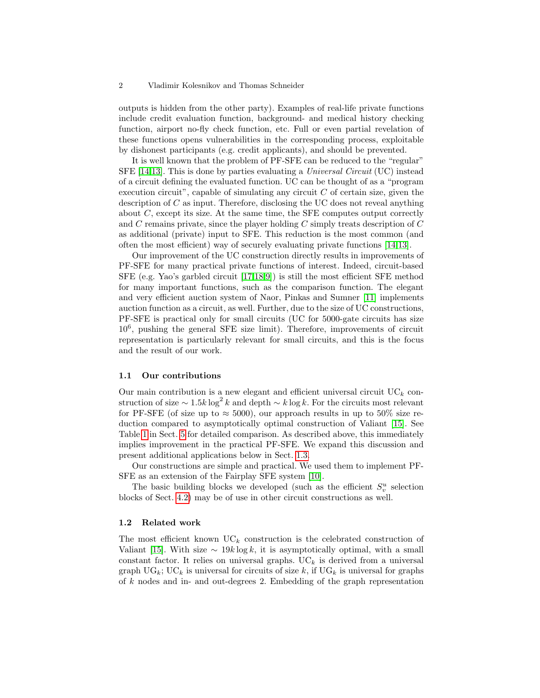outputs is hidden from the other party). Examples of real-life private functions include credit evaluation function, background- and medical history checking function, airport no-fly check function, etc. Full or even partial revelation of these functions opens vulnerabilities in the corresponding process, exploitable by dishonest participants (e.g. credit applicants), and should be prevented.

It is well known that the problem of PF-SFE can be reduced to the "regular" SFE [\[14](#page-14-12)[,13\]](#page-14-13). This is done by parties evaluating a *Universal Circuit* (UC) instead of a circuit defining the evaluated function. UC can be thought of as a "program execution circuit", capable of simulating any circuit  $C$  of certain size, given the description of  $C$  as input. Therefore, disclosing the UC does not reveal anything about  $C$ , except its size. At the same time, the SFE computes output correctly and  $C$  remains private, since the player holding  $C$  simply treats description of  $C$ as additional (private) input to SFE. This reduction is the most common (and often the most efficient) way of securely evaluating private functions [\[14,](#page-14-12)[13\]](#page-14-13).

Our improvement of the UC construction directly results in improvements of PF-SFE for many practical private functions of interest. Indeed, circuit-based SFE (e.g. Yao's garbled circuit [\[17,](#page-14-0)[18,](#page-14-1)[9\]](#page-14-2)) is still the most efficient SFE method for many important functions, such as the comparison function. The elegant and very efficient auction system of Naor, Pinkas and Sumner [\[11\]](#page-14-5) implements auction function as a circuit, as well. Further, due to the size of UC constructions, PF-SFE is practical only for small circuits (UC for 5000-gate circuits has size 10<sup>6</sup> , pushing the general SFE size limit). Therefore, improvements of circuit representation is particularly relevant for small circuits, and this is the focus and the result of our work.

#### 1.1 Our contributions

Our main contribution is a new elegant and efficient universal circuit  $\mathrm{UC}_k$  construction of size  $\sim 1.5k \log^2 k$  and depth  $\sim k \log k$ . For the circuits most relevant for PF-SFE (of size up to  $\approx$  5000), our approach results in up to 50% size reduction compared to asymptotically optimal construction of Valiant [\[15\]](#page-14-3). See Table [1](#page-13-0) in Sect. [5](#page-13-1) for detailed comparison. As described above, this immediately implies improvement in the practical PF-SFE. We expand this discussion and present additional applications below in Sect. [1.3.](#page-2-0)

Our constructions are simple and practical. We used them to implement PF-SFE as an extension of the Fairplay SFE system [\[10\]](#page-14-4).

The basic building blocks we developed (such as the efficient  $S_v^u$  selection blocks of Sect. [4.2\)](#page-9-0) may be of use in other circuit constructions as well.

### 1.2 Related work

The most efficient known  $\mathrm{UC}_k$  construction is the celebrated construction of Valiant [\[15\]](#page-14-3). With size  $\sim 19k \log k$ , it is asymptotically optimal, with a small constant factor. It relies on universal graphs.  $\mathrm{UC}_k$  is derived from a universal graph  $\text{UG}_k$ ;  $\text{UC}_k$  is universal for circuits of size k, if  $\text{UG}_k$  is universal for graphs of  $k$  nodes and in- and out-degrees 2. Embedding of the graph representation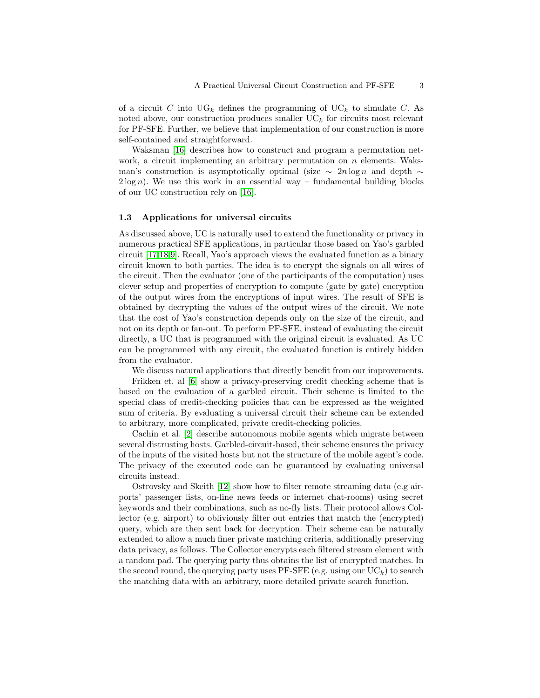of a circuit C into  $\mathrm{UG}_k$  defines the programming of  $\mathrm{UC}_k$  to simulate C. As noted above, our construction produces smaller  $\mathrm{UC}_k$  for circuits most relevant for PF-SFE. Further, we believe that implementation of our construction is more self-contained and straightforward.

Waksman [\[16\]](#page-14-14) describes how to construct and program a permutation network, a circuit implementing an arbitrary permutation on  $n$  elements. Waksman's construction is asymptotically optimal (size  $\sim 2n \log n$  and depth  $\sim$  $2 \log n$ . We use this work in an essential way – fundamental building blocks of our UC construction rely on [\[16\]](#page-14-14).

### <span id="page-2-0"></span>1.3 Applications for universal circuits

As discussed above, UC is naturally used to extend the functionality or privacy in numerous practical SFE applications, in particular those based on Yao's garbled circuit [\[17,](#page-14-0)[18](#page-14-1)[,9\]](#page-14-2). Recall, Yao's approach views the evaluated function as a binary circuit known to both parties. The idea is to encrypt the signals on all wires of the circuit. Then the evaluator (one of the participants of the computation) uses clever setup and properties of encryption to compute (gate by gate) encryption of the output wires from the encryptions of input wires. The result of SFE is obtained by decrypting the values of the output wires of the circuit. We note that the cost of Yao's construction depends only on the size of the circuit, and not on its depth or fan-out. To perform PF-SFE, instead of evaluating the circuit directly, a UC that is programmed with the original circuit is evaluated. As UC can be programmed with any circuit, the evaluated function is entirely hidden from the evaluator.

We discuss natural applications that directly benefit from our improvements.

Frikken et. al [\[6\]](#page-14-15) show a privacy-preserving credit checking scheme that is based on the evaluation of a garbled circuit. Their scheme is limited to the special class of credit-checking policies that can be expressed as the weighted sum of criteria. By evaluating a universal circuit their scheme can be extended to arbitrary, more complicated, private credit-checking policies.

Cachin et al. [\[2\]](#page-14-16) describe autonomous mobile agents which migrate between several distrusting hosts. Garbled-circuit-based, their scheme ensures the privacy of the inputs of the visited hosts but not the structure of the mobile agent's code. The privacy of the executed code can be guaranteed by evaluating universal circuits instead.

Ostrovsky and Skeith [\[12\]](#page-14-17) show how to filter remote streaming data (e.g airports' passenger lists, on-line news feeds or internet chat-rooms) using secret keywords and their combinations, such as no-fly lists. Their protocol allows Collector (e.g. airport) to obliviously filter out entries that match the (encrypted) query, which are then sent back for decryption. Their scheme can be naturally extended to allow a much finer private matching criteria, additionally preserving data privacy, as follows. The Collector encrypts each filtered stream element with a random pad. The querying party thus obtains the list of encrypted matches. In the second round, the querying party uses  $PF-STE$  (e.g. using our  $UC_k$ ) to search the matching data with an arbitrary, more detailed private search function.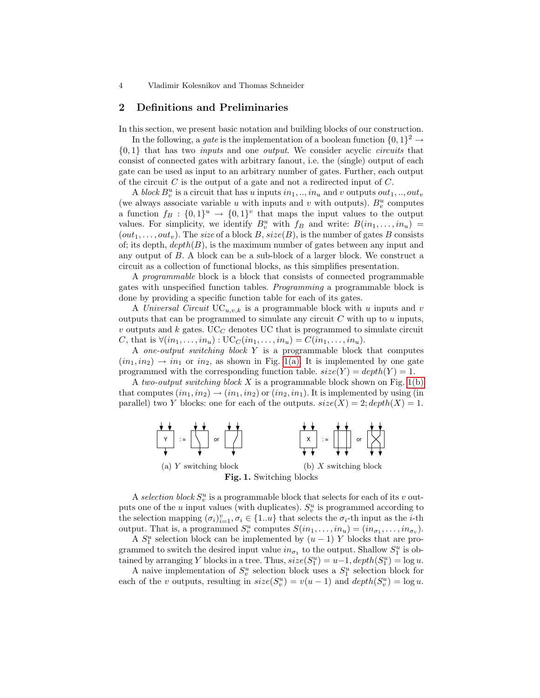### <span id="page-3-2"></span>2 Definitions and Preliminaries

In this section, we present basic notation and building blocks of our construction.

In the following, a *gate* is the implementation of a boolean function  $\{0,1\}^2 \rightarrow$  $\{0,1\}$  that has two *inputs* and one *output*. We consider acyclic *circuits* that consist of connected gates with arbitrary fanout, i.e. the (single) output of each gate can be used as input to an arbitrary number of gates. Further, each output of the circuit  $C$  is the output of a gate and not a redirected input of  $C$ .

A block  $B_v^u$  is a circuit that has u inputs  $in_1, ..., in_u$  and v outputs  $out_1, ..., out_v$ (we always associate variable u with inputs and v with outputs).  $B_v^u$  computes a function  $f_B: \{0,1\}^u \to \{0,1\}^v$  that maps the input values to the output values. For simplicity, we identify  $B_v^u$  with  $f_B$  and write:  $B(in_1, \ldots, in_u)$  =  $(out_1, \ldots, out_v)$ . The size of a block B, size(B), is the number of gates B consists of; its depth,  $depth(B)$ , is the maximum number of gates between any input and any output of B. A block can be a sub-block of a larger block. We construct a circuit as a collection of functional blocks, as this simplifies presentation.

A programmable block is a block that consists of connected programmable gates with unspecified function tables. Programming a programmable block is done by providing a specific function table for each of its gates.

A Universal Circuit  $UC_{u,v,k}$  is a programmable block with u inputs and v outputs that can be programmed to simulate any circuit  $C$  with up to  $u$  inputs,  $v$  outputs and  $k$  gates. UC<sub>C</sub> denotes UC that is programmed to simulate circuit C, that is  $\forall (in_1, ..., in_u) : \mathrm{UC}_C(in_1, ..., in_u) = C(in_1, ..., in_u)$ .

A one-output switching block Y is a programmable block that computes  $(in_1, in_2) \rightarrow in_1$  or  $in_2$ , as shown in Fig. [1\(a\).](#page-3-0) It is implemented by one gate programmed with the corresponding function table.  $size(Y) = depth(Y) = 1$ .

A two-output switching block  $X$  is a programmable block shown on Fig. [1\(b\)](#page-3-1) that computes  $(in_1, in_2) \rightarrow (in_1, in_2)$  or  $(in_2, in_1)$ . It is implemented by using (in parallel) two Y blocks: one for each of the outputs.  $size(X) = 2; depth(X) = 1$ .

<span id="page-3-1"></span><span id="page-3-0"></span>

A selection block  $S_v^u$  is a programmable block that selects for each of its v outputs one of the  $u$  input values (with duplicates).  $S_v^u$  is programmed according to the selection mapping  $(\sigma_i)_{i=1}^v, \sigma_i \in \{1...u\}$  that selects the  $\sigma_i$ -th input as the *i*-th output. That is, a programmed  $S_v^u$  computes  $S(in_1, \ldots, in_u) = (in_{\sigma_1}, \ldots, in_{\sigma_v}).$ 

A  $S_1^u$  selection block can be implemented by  $(u-1)$  Y blocks that are programmed to switch the desired input value  $in_{\sigma_1}$  to the output. Shallow  $S_1^u$  is obtained by arranging Y blocks in a tree. Thus,  $size(S_1^u) = u-1, depth(S_1^u) = \log u$ .

A naive implementation of  $S_v^u$  selection block uses a  $S_1^u$  selection block for each of the v outputs, resulting in  $size(S_v^u) = v(u-1)$  and  $depth(S_v^u) = log u$ .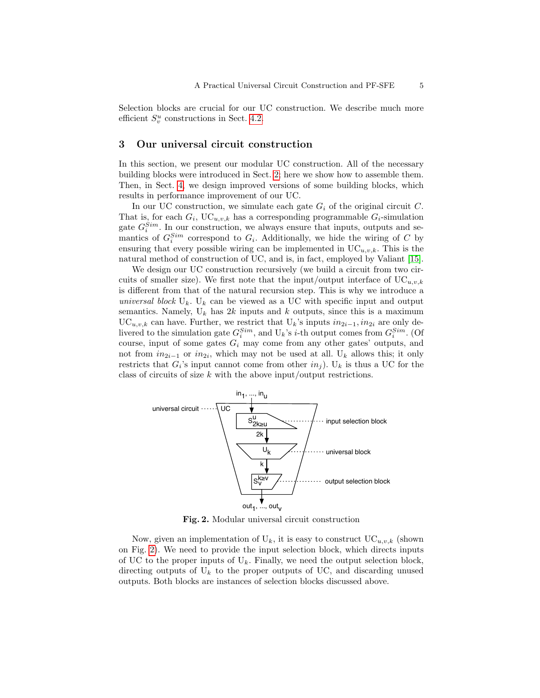Selection blocks are crucial for our UC construction. We describe much more efficient  $S_v^u$  constructions in Sect. [4.2.](#page-9-0)

### 3 Our universal circuit construction

In this section, we present our modular UC construction. All of the necessary building blocks were introduced in Sect. [2;](#page-3-2) here we show how to assemble them. Then, in Sect. [4,](#page-7-0) we design improved versions of some building blocks, which results in performance improvement of our UC.

In our UC construction, we simulate each gate  $G_i$  of the original circuit C. That is, for each  $G_i$ , UC<sub>u,v,k</sub> has a corresponding programmable  $G_i$ -simulation gate  $G_i^{Sim}$ . In our construction, we always ensure that inputs, outputs and semantics of  $G_i^{Sim}$  correspond to  $G_i$ . Additionally, we hide the wiring of C by ensuring that every possible wiring can be implemented in  $UC_{u,v,k}$ . This is the natural method of construction of UC, and is, in fact, employed by Valiant [\[15\]](#page-14-3).

We design our UC construction recursively (we build a circuit from two circuits of smaller size). We first note that the input/output interface of  $\mathrm{UC}_{u,v,k}$ is different from that of the natural recursion step. This is why we introduce a universal block  $U_k$ .  $U_k$  can be viewed as a UC with specific input and output semantics. Namely,  $U_k$  has  $2k$  inputs and k outputs, since this is a maximum UC<sub>u,v,k</sub> can have. Further, we restrict that U<sub>k</sub>'s inputs  $in_{2i-1}$ ,  $in_{2i}$  are only delivered to the simulation gate  $G_i^{Sim}$ , and  $U_k$ 's *i*-th output comes from  $G_i^{Sim}$ . (Of course, input of some gates  $G_i$  may come from any other gates' outputs, and not from  $in_{2i-1}$  or  $in_{2i}$ , which may not be used at all. U<sub>k</sub> allows this; it only restricts that  $G_i$ 's input cannot come from other  $in_j$ ). U<sub>k</sub> is thus a UC for the class of circuits of size  $k$  with the above input/output restrictions.



<span id="page-4-0"></span>Fig. 2. Modular universal circuit construction

Now, given an implementation of  $U_k$ , it is easy to construct  $UC_{u,v,k}$  (shown on Fig. [2\)](#page-4-0). We need to provide the input selection block, which directs inputs of UC to the proper inputs of  $U_k$ . Finally, we need the output selection block, directing outputs of  $U_k$  to the proper outputs of UC, and discarding unused outputs. Both blocks are instances of selection blocks discussed above.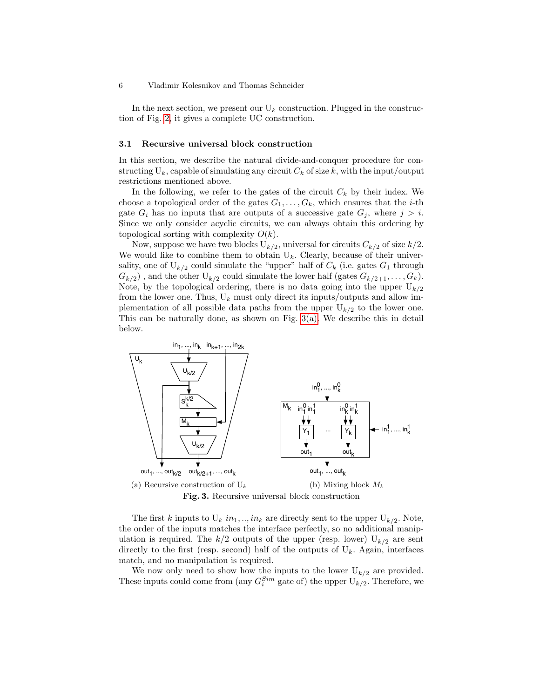In the next section, we present our  $U_k$  construction. Plugged in the construction of Fig. [2,](#page-4-0) it gives a complete UC construction.

### <span id="page-5-2"></span>3.1 Recursive universal block construction

In this section, we describe the natural divide-and-conquer procedure for constructing  $U_k$ , capable of simulating any circuit  $C_k$  of size k, with the input/output restrictions mentioned above.

In the following, we refer to the gates of the circuit  $C_k$  by their index. We choose a topological order of the gates  $G_1, \ldots, G_k$ , which ensures that the *i*-th gate  $G_i$  has no inputs that are outputs of a successive gate  $G_j$ , where  $j > i$ . Since we only consider acyclic circuits, we can always obtain this ordering by topological sorting with complexity  $O(k)$ .

Now, suppose we have two blocks  $U_{k/2}$ , universal for circuits  $C_{k/2}$  of size  $k/2$ . We would like to combine them to obtain  $U_k$ . Clearly, because of their universality, one of  $U_{k/2}$  could simulate the "upper" half of  $C_k$  (i.e. gates  $G_1$  through  $G_{k/2}$ , and the other  $U_{k/2}$  could simulate the lower half (gates  $G_{k/2+1}, \ldots, G_k$ ). Note, by the topological ordering, there is no data going into the upper  $U_{k/2}$ from the lower one. Thus,  $U_k$  must only direct its inputs/outputs and allow implementation of all possible data paths from the upper  $U_{k/2}$  to the lower one. This can be naturally done, as shown on Fig.  $3(a)$ . We describe this in detail below.

<span id="page-5-0"></span>

<span id="page-5-1"></span>The first k inputs to  $U_k$  in<sub>1</sub>, ..., in<sub>k</sub> are directly sent to the upper  $U_{k/2}$ . Note, the order of the inputs matches the interface perfectly, so no additional manipulation is required. The  $k/2$  outputs of the upper (resp. lower)  $U_{k/2}$  are sent directly to the first (resp. second) half of the outputs of  $U_k$ . Again, interfaces match, and no manipulation is required.

We now only need to show how the inputs to the lower  $U_{k/2}$  are provided. These inputs could come from (any  $G_i^{Sim}$  gate of) the upper  $U_{k/2}$ . Therefore, we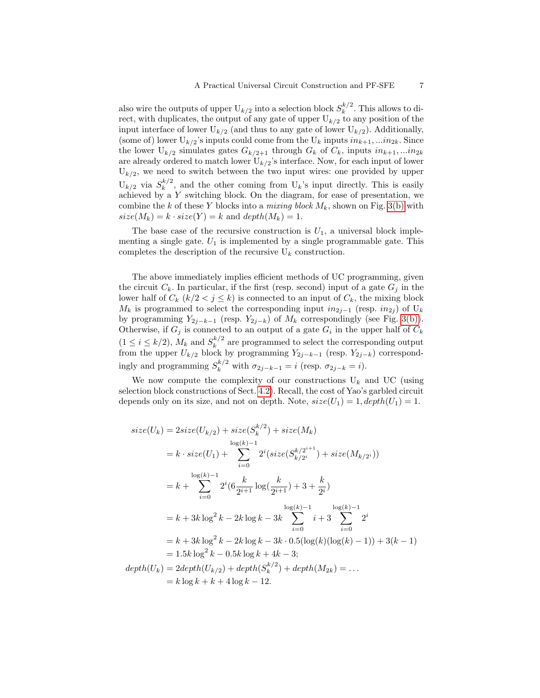also wire the outputs of upper  $U_{k/2}$  into a selection block  $S_k^{k/2}$  $\int_k^{\kappa/2}$ . This allows to direct, with duplicates, the output of any gate of upper  $U_{k/2}$  to any position of the input interface of lower  $U_{k/2}$  (and thus to any gate of lower  $U_{k/2}$ ). Additionally, (some of) lower  $U_{k/2}$ 's inputs could come from the  $U_k$  inputs  $in_{k+1},...in_{2k}$ . Since the lower  $U_{k/2}$  simulates gates  $G_{k/2+1}$  through  $G_k$  of  $C_k$ , inputs  $in_{k+1},...in_{2k}$ are already ordered to match lower  $U_{k/2}$ 's interface. Now, for each input of lower  $U_{k/2}$ , we need to switch between the two input wires: one provided by upper  $U_{k/2}$  via  $S_k^{k/2}$  $\binom{k}{k}$ , and the other coming from  $U_k$ 's input directly. This is easily achieved by a Y switching block. On the diagram, for ease of presentation, we combine the k of these Y blocks into a mixing block  $M_k$ , shown on Fig. [3\(b\)](#page-5-1) with  $size(M_k) = k \cdot size(Y) = k$  and  $depth(M_k) = 1$ .

The base case of the recursive construction is  $U_1$ , a universal block implementing a single gate.  $U_1$  is implemented by a single programmable gate. This completes the description of the recursive  $U_k$  construction.

The above immediately implies efficient methods of UC programming, given the circuit  $C_k$ . In particular, if the first (resp. second) input of a gate  $G_i$  in the lower half of  $C_k$   $(k/2 < j \le k)$  is connected to an input of  $C_k$ , the mixing block  $M_k$  is programmed to select the corresponding input  $in_{2j-1}$  (resp.  $in_{2j}$ ) of U<sub>k</sub> by programming  $Y_{2j-k-1}$  (resp.  $Y_{2j-k}$ ) of  $M_k$  correspondingly (see Fig. [3\(b\)\)](#page-5-1). Otherwise, if  $G_j$  is connected to an output of a gate  $G_i$  in the upper half of  $C_k$  $(1 \leq i \leq k/2)$ ,  $M_k$  and  $S_k^{k/2}$  $\frac{k^{k}}{k}$  are programmed to select the corresponding output from the upper  $U_{k/2}$  block by programming  $Y_{2j-k-1}$  (resp.  $Y_{2j-k}$ ) correspondingly and programming  $S_k^{k/2}$  with  $\sigma_{2j-k-1} = i$  (resp.  $\sigma_{2j-k} = i$ ).

We now compute the complexity of our constructions  $U_k$  and UC (using selection block constructions of Sect. [4.2\)](#page-9-0). Recall, the cost of Yao's garbled circuit depends only on its size, and not on depth. Note,  $size(U_1) = 1, depth(U_1) = 1$ .

$$
size(U_k) = 2size(U_{k/2}) + size(S_k^{k/2}) + size(M_k)
$$
  
\n
$$
log(k) - 1
$$
  
\n
$$
= k \cdot size(U_1) + \sum_{i=0}^{log(k)-1} 2^i(size(S_{k/2i}^{k/2i+1}) + size(M_{k/2i}))
$$
  
\n
$$
= k + \sum_{i=0}^{log(k)-1} 2^i(6\frac{k}{2^{i+1}}log(\frac{k}{2^{i+1}}) + 3 + \frac{k}{2^i})
$$
  
\n
$$
= k + 3k log^2 k - 2k log k - 3k \sum_{i=0}^{log(k)-1} i + 3 \sum_{i=0}^{log(k)-1} 2^i
$$
  
\n
$$
= k + 3k log^2 k - 2k log k - 3k \cdot 0.5(log(k)(log(k) - 1)) + 3(k - 1)
$$
  
\n
$$
= 1.5k log^2 k - 0.5k log k + 4k - 3;
$$
  
\n
$$
depth(U_k) = 2depth(U_{k/2}) + depth(S_k^{k/2}) + depth(M_{2k}) = ...
$$
  
\n
$$
= k log k + k + 4 log k - 12.
$$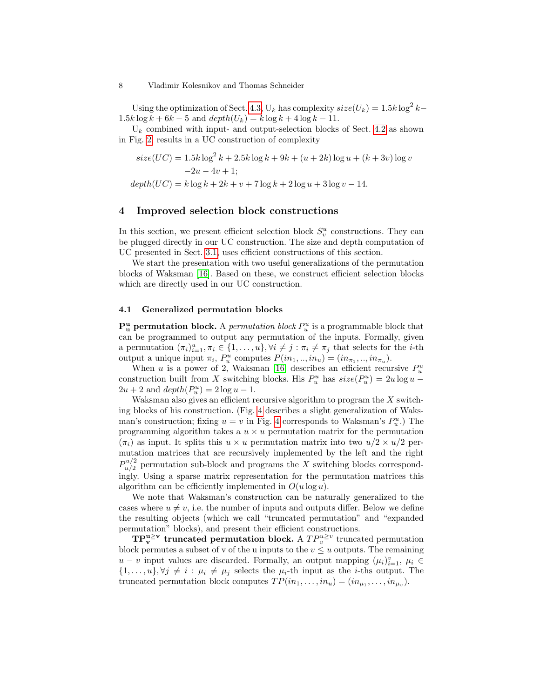Using the optimization of Sect. [4.3,](#page-13-2)  $U_k$  has complexity  $size(U_k) = 1.5k \log^2 k 1.5k \log k + 6k - 5$  and  $depth(U_k) = k \log k + 4 \log k - 11$ .

 $U_k$  combined with input- and output-selection blocks of Sect. [4.2](#page-9-0) as shown in Fig. [2,](#page-4-0) results in a UC construction of complexity

$$
size(UC) = 1.5k \log^{2} k + 2.5k \log k + 9k + (u + 2k) \log u + (k + 3v) \log v
$$
  
-2u - 4v + 1;  

$$
depth(UC) = k \log k + 2k + v + 7 \log k + 2 \log u + 3 \log v - 14.
$$

### <span id="page-7-0"></span>4 Improved selection block constructions

In this section, we present efficient selection block  $S_v^u$  constructions. They can be plugged directly in our UC construction. The size and depth computation of UC presented in Sect. [3.1,](#page-5-2) uses efficient constructions of this section.

We start the presentation with two useful generalizations of the permutation blocks of Waksman [\[16\]](#page-14-14). Based on these, we construct efficient selection blocks which are directly used in our UC construction.

### 4.1 Generalized permutation blocks

 $\mathbf{P}_{\mathbf{u}}^{\mathbf{u}}$  permutation block. A *permutation block*  $P_{u}^{u}$  is a programmable block that can be programmed to output any permutation of the inputs. Formally, given a permutation  $(\pi_i)_{i=1}^u, \pi_i \in \{1, \ldots, u\}, \forall i \neq j : \pi_i \neq \pi_j$  that selects for the *i*-th output a unique input  $\pi_i$ ,  $P_u^u$  computes  $P(in_1, ..., in_u) = (in_{\pi_1}, ..., in_{\pi_u})$ .

When u is a power of 2, Waksman [\[16\]](#page-14-14) describes an efficient recursive  $P_u^u$ construction built from X switching blocks. His  $P_u^u$  has  $size(P_u^u) = 2u \log u 2u + 2$  and  $depth(P_u^u) = 2 \log u - 1$ .

Waksman also gives an efficient recursive algorithm to program the X switching blocks of his construction. (Fig. [4](#page-8-0) describes a slight generalization of Waksman's construction; fixing  $u = v$  in Fig. [4](#page-8-0) corresponds to Waksman's  $P_u^u$ .) The programming algorithm takes a  $u \times u$  permutation matrix for the permutation  $(\pi_i)$  as input. It splits this  $u \times u$  permutation matrix into two  $u/2 \times u/2$  permutation matrices that are recursively implemented by the left and the right  $P_{u/2}^{u/2}$  $\frac{u}{u/2}$  permutation sub-block and programs the X switching blocks correspondingly. Using a sparse matrix representation for the permutation matrices this algorithm can be efficiently implemented in  $O(u \log u)$ .

We note that Waksman's construction can be naturally generalized to the cases where  $u \neq v$ , i.e. the number of inputs and outputs differ. Below we define the resulting objects (which we call "truncated permutation" and "expanded permutation" blocks), and present their efficient constructions.

 $\mathbf{TP}_{\mathbf{v}}^{\mathbf{u}\geq \mathbf{v}}$  truncated permutation block. A  $TP_v^{u\geq v}$  truncated permutation block permutes a subset of v of the u inputs to the  $v \leq u$  outputs. The remaining  $u - v$  input values are discarded. Formally, an output mapping  $(\mu_i)_{i=1}^v$ ,  $\mu_i \in$  $\{1,\ldots,u\}, \forall j \neq i : \mu_i \neq \mu_j$  selects the  $\mu_i$ -th input as the *i*-ths output. The truncated permutation block computes  $TP(in_1, \ldots, in_u) = (in_{\mu_1}, \ldots, in_{\mu_v}).$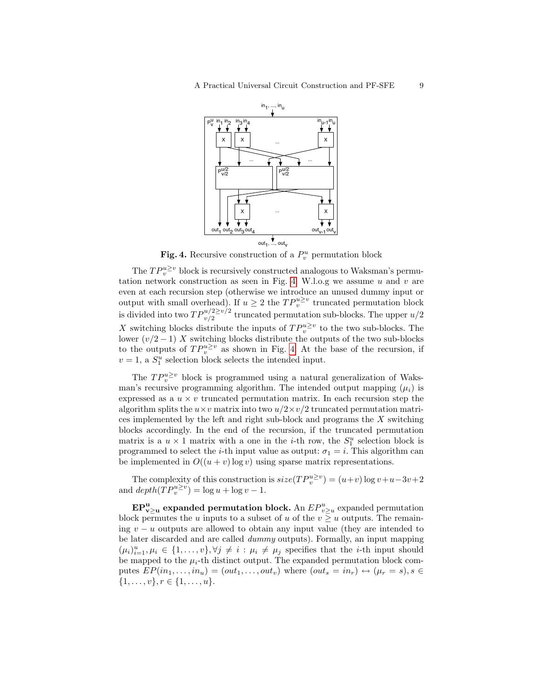

<span id="page-8-0"></span>Fig. 4. Recursive construction of a  $P_v^u$  permutation block

The  $TP_v^{u\geq v}$  block is recursively constructed analogous to Waksman's permu-tation network construction as seen in Fig. [4.](#page-8-0) W.l.o.g we assume  $u$  and  $v$  are even at each recursion step (otherwise we introduce an unused dummy input or output with small overhead). If  $u \geq 2$  the  $TP_v^{u \geq v}$  truncated permutation block is divided into two  $TP_{v/2}^{u/2 \ge v/2}$  truncated permutation sub-blocks. The upper  $u/2$ X switching blocks distribute the inputs of  $TP_v^{u\geq v}$  to the two sub-blocks. The lower  $(v/2-1)$  X switching blocks distribute the outputs of the two sub-blocks to the outputs of  $TP_v^{u\geq v}$  as shown in Fig. [4.](#page-8-0) At the base of the recursion, if  $v = 1$ , a  $S_1^u$  selection block selects the intended input.

The  $TP_v^{u\geq v}$  block is programmed using a natural generalization of Waksman's recursive programming algorithm. The intended output mapping  $(\mu_i)$  is expressed as a  $u \times v$  truncated permutation matrix. In each recursion step the algorithm splits the  $u \times v$  matrix into two  $u/2 \times v/2$  truncated permutation matrices implemented by the left and right sub-block and programs the  $X$  switching blocks accordingly. In the end of the recursion, if the truncated permutation matrix is a  $u \times 1$  matrix with a one in the *i*-th row, the  $S_1^u$  selection block is programmed to select the *i*-th input value as output:  $\sigma_1 = i$ . This algorithm can be implemented in  $O((u + v) \log v)$  using sparse matrix representations.

The complexity of this construction is  $size(TP_v^{u\geq v}) = (u+v)\log v + u - 3v + 2$ and  $depth(TP_v^{u\geq v}) = \log u + \log v - 1.$ 

 $\mathbf{EP^u_{v\geq u}}$  expanded permutation block. An  $EP^u_{v\geq u}$  expanded permutation block permutes the u inputs to a subset of u of the  $v \geq u$  outputs. The remaining  $v - u$  outputs are allowed to obtain any input value (they are intended to be later discarded and are called dummy outputs). Formally, an input mapping  $(\mu_i)_{i=1}^u, \mu_i \in \{1,\ldots,v\}, \forall j \neq i : \mu_i \neq \mu_j$  specifies that the *i*-th input should be mapped to the  $\mu_i$ -th distinct output. The expanded permutation block computes  $EP(in_1, \ldots, in_u) = (out_1, \ldots, out_v)$  where  $(out_s = in_r) \leftrightarrow (\mu_r = s), s \in$  $\{1, \ldots, v\}, r \in \{1, \ldots, u\}.$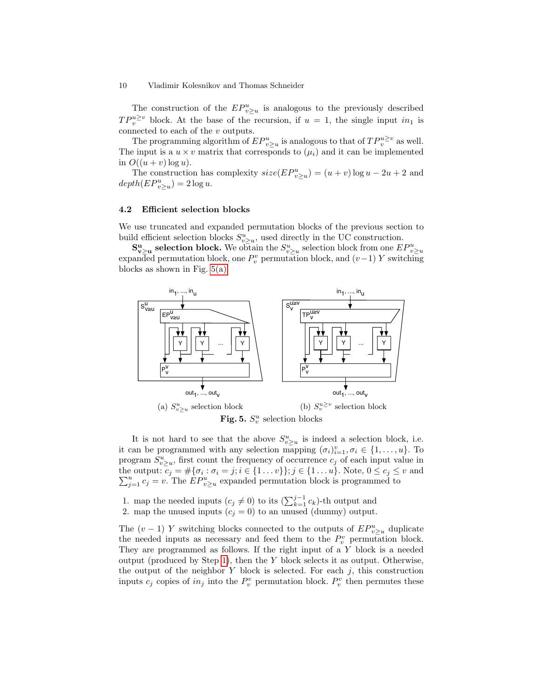The construction of the  $EP_{v\geq u}^u$  is analogous to the previously described  $TP_v^{u\geq v}$  block. At the base of the recursion, if  $u = 1$ , the single input  $in_1$  is connected to each of the  $v$  outputs.

The programming algorithm of  $EP_{v\geq u}^u$  is analogous to that of  $TP_v^{u\geq v}$  as well. The input is a  $u \times v$  matrix that corresponds to  $(\mu_i)$  and it can be implemented in  $O((u + v) \log u)$ .

The construction has complexity  $size(EP_{v\geq u}^u) = (u+v)\log u - 2u + 2$  and  $depth(EP_{v\geq u}^{u})=2\log u.$ 

### <span id="page-9-0"></span>4.2 Efficient selection blocks

We use truncated and expanded permutation blocks of the previous section to build efficient selection blocks  $S_{v\geq u}^u$ , used directly in the UC construction.

 $S_{v\geq u}^u$  selection block. We obtain the  $S_{v\geq u}^u$  selection block from one  $EP_{v\geq u}^u$ expanded permutation block, one  $P_v^v$  permutation block, and  $(v-1)$  Y switching blocks as shown in Fig. [5\(a\).](#page-9-1)

<span id="page-9-1"></span>

<span id="page-9-3"></span>It is not hard to see that the above  $S_{v\geq u}^u$  is indeed a selection block, i.e. it can be programmed with any selection mapping  $(\sigma_i)_{i=1}^v, \sigma_i \in \{1, \ldots, u\}$ . To program  $S_{v\geq u}^u$ , first count the frequency of occurrence  $c_j$  of each input value in the output:  $c_j = #\{\sigma_i : \sigma_i = j; i \in \{1 \dots v\}\}; j \in \{1 \dots u\}$ . Note,  $0 \le c_j \le v$  and  $\sum_{j=1}^u c_j = v$ . The  $EP^u_{v \ge u}$  expanded permutation block is programmed to

<span id="page-9-2"></span>1. map the needed inputs  $(c_j \neq 0)$  to its  $(\sum_{k=1}^{j-1} c_k)$ -th output and 2. map the unused inputs  $(c_j = 0)$  to an unused (dummy) output.

The  $(v-1)$  Y switching blocks connected to the outputs of  $EP_{v\geq u}^u$  duplicate the needed inputs as necessary and feed them to the  $P_v^v$  permutation block. They are programmed as follows. If the right input of a Y block is a needed output (produced by Step [1\)](#page-9-2), then the Y block selects it as output. Otherwise, the output of the neighbor  $Y$  block is selected. For each  $j$ , this construction inputs  $c_j$  copies of  $in_j$  into the  $P_v^v$  permutation block.  $P_v^v$  then permutes these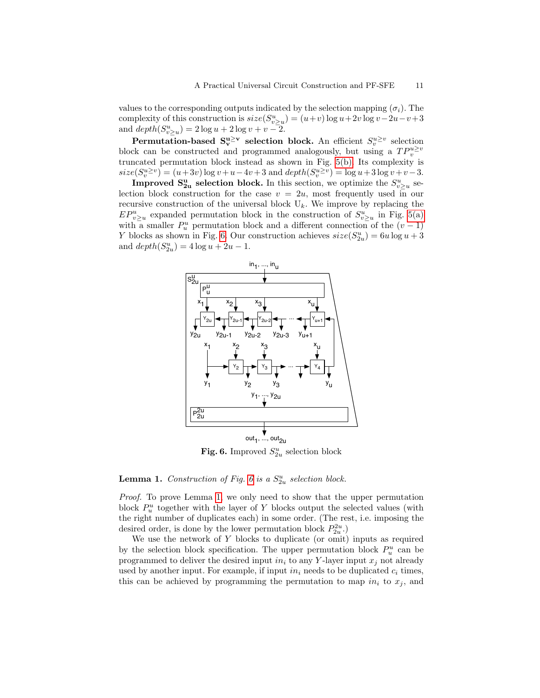values to the corresponding outputs indicated by the selection mapping  $(\sigma_i)$ . The complexity of this construction is  $size(S_{v\geq u}^u) = (u+v) \log u + 2v \log v - 2u - v + 3$ and  $depth(S_{v\geq u}^u) = 2 \log u + 2 \log v + v - 2.$ 

**Permutation-based S**<sup>u $\geq$ v</sup> selection block. An efficient  $S_v^{u\geq v}$  selection block can be constructed and programmed analogously, but using a  $TP_v^{u\geq v}$ truncated permutation block instead as shown in Fig. [5\(b\).](#page-9-3) Its complexity is  $size(S_v^{u\geq v}) = (u+3v) \log v + u - 4v + 3$  and  $depth(S_v^{u\geq v}) = \log u + 3 \log v + v - 3$ .

**Improved S<sub>2u</sub>** selection block. In this section, we optimize the  $S_{v\geq u}^u$  selection block construction for the case  $v = 2u$ , most frequently used in our recursive construction of the universal block  $U_k$ . We improve by replacing the  $EP_{v\geq u}^u$  expanded permutation block in the construction of  $S_{v\geq u}^u$  in Fig. [5\(a\)](#page-9-1) with a smaller  $P_u^u$  permutation block and a different connection of the  $(v-1)$ Y blocks as shown in Fig. [6.](#page-10-0) Our construction achieves  $size(S_{2u}^u) = 6u \log u + 3$ and  $depth(S_{2u}^{u}) = 4 log u + 2u - 1.$ 



<span id="page-10-0"></span>Fig. 6. Improved  $S_{2u}^u$  selection block

## <span id="page-10-1"></span>**Lemma 1.** Construction of Fig. [6](#page-10-0) is a  $S_{2u}^u$  selection block.

Proof. To prove Lemma [1,](#page-10-1) we only need to show that the upper permutation block  $P_u^u$  together with the layer of Y blocks output the selected values (with the right number of duplicates each) in some order. (The rest, i.e. imposing the desired order, is done by the lower permutation block  $P_{2u}^{2u}$ .)

We use the network of Y blocks to duplicate (or omit) inputs as required by the selection block specification. The upper permutation block  $P_u^u$  can be programmed to deliver the desired input  $in_i$  to any Y-layer input  $x_j$  not already used by another input. For example, if input  $in_i$  needs to be duplicated  $c_i$  times, this can be achieved by programming the permutation to map  $in_i$  to  $x_j$ , and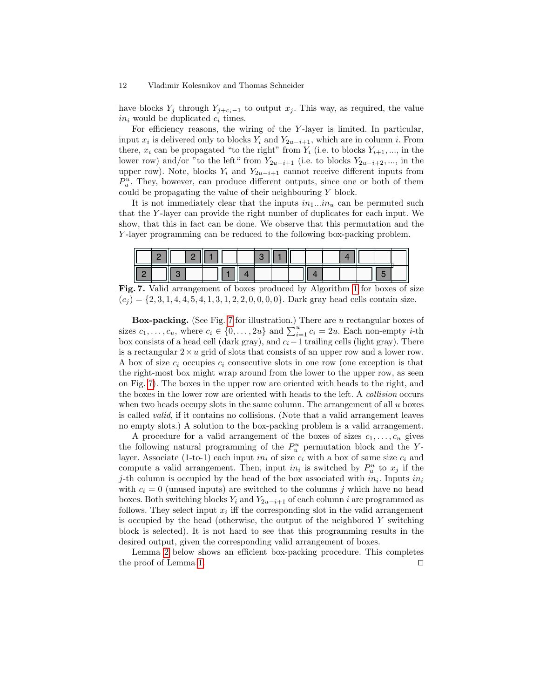have blocks  $Y_j$  through  $Y_{j+c_i-1}$  to output  $x_j$ . This way, as required, the value  $in_i$  would be duplicated  $c_i$  times.

For efficiency reasons, the wiring of the Y -layer is limited. In particular, input  $x_i$  is delivered only to blocks  $Y_i$  and  $Y_{2u-i+1}$ , which are in column *i*. From there,  $x_i$  can be propagated "to the right" from  $Y_i$  (i.e. to blocks  $Y_{i+1}, ...,$  in the lower row) and/or "to the left" from  $Y_{2u-i+1}$  (i.e. to blocks  $Y_{2u-i+2}, ...,$  in the upper row). Note, blocks  $Y_i$  and  $Y_{2u-i+1}$  cannot receive different inputs from  $P_u^u$ . They, however, can produce different outputs, since one or both of them could be propagating the value of their neighbouring Y block.

It is not immediately clear that the inputs  $in_1...in_u$  can be permuted such that the Y -layer can provide the right number of duplicates for each input. We show, that this in fact can be done. We observe that this permutation and the Y -layer programming can be reduced to the following box-packing problem.

| c |  |  |  |  |  |  |  |  |
|---|--|--|--|--|--|--|--|--|

<span id="page-11-1"></span>Fig. 7. Valid arrangement of boxes produced by Algorithm [1](#page-11-0) for boxes of size  $(c_i) = \{2, 3, 1, 4, 4, 5, 4, 1, 3, 1, 2, 2, 0, 0, 0, 0\}$ . Dark gray head cells contain size.

Box-packing. (See Fig. [7](#page-11-1) for illustration.) There are u rectangular boxes of sizes  $c_1, \ldots, c_u$ , where  $c_i \in \{0, \ldots, 2u\}$  and  $\sum_{i=1}^u c_i = 2u$ . Each non-empty *i*-th box consists of a head cell (dark gray), and  $c_i-1$  trailing cells (light gray). There is a rectangular  $2 \times u$  grid of slots that consists of an upper row and a lower row. A box of size  $c_i$  occupies  $c_i$  consecutive slots in one row (one exception is that the right-most box might wrap around from the lower to the upper row, as seen on Fig. [7\)](#page-11-1). The boxes in the upper row are oriented with heads to the right, and the boxes in the lower row are oriented with heads to the left. A collision occurs when two heads occupy slots in the same column. The arrangement of all  $u$  boxes is called valid, if it contains no collisions. (Note that a valid arrangement leaves no empty slots.) A solution to the box-packing problem is a valid arrangement.

A procedure for a valid arrangement of the boxes of sizes  $c_1, \ldots, c_u$  gives the following natural programming of the  $P_u^u$  permutation block and the Ylayer. Associate (1-to-1) each input  $in_i$  of size  $c_i$  with a box of same size  $c_i$  and compute a valid arrangement. Then, input  $in_i$  is switched by  $P_u^u$  to  $x_j$  if the *j*-th column is occupied by the head of the box associated with  $in_i$ . Inputs  $in_i$ with  $c_i = 0$  (unused inputs) are switched to the columns j which have no head boxes. Both switching blocks  $Y_i$  and  $Y_{2u-i+1}$  of each column i are programmed as follows. They select input  $x_i$  iff the corresponding slot in the valid arrangement is occupied by the head (otherwise, the output of the neighbored Y switching block is selected). It is not hard to see that this programming results in the desired output, given the corresponding valid arrangement of boxes.

<span id="page-11-0"></span>Lemma [2](#page-12-0) below shows an efficient box-packing procedure. This completes the proof of Lemma [1.](#page-10-1)  $\Box$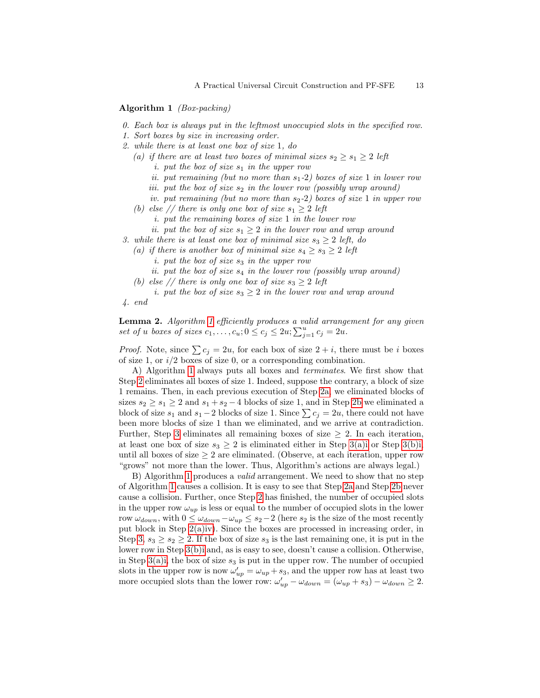#### Algorithm 1 (Box-packing)

- 0. Each box is always put in the leftmost unoccupied slots in the specified row.
- <span id="page-12-9"></span>1. Sort boxes by size in increasing order.
- <span id="page-12-2"></span><span id="page-12-1"></span>2. while there is at least one box of size 1, do
	- (a) if there are at least two boxes of minimal sizes  $s_2 \geq s_1 \geq 2$  left
		- *i.* put the box of size  $s_1$  in the upper row
		- ii. put remaining (but no more than  $s_1-2$ ) boxes of size 1 in lower row
		- iii. put the box of size  $s_2$  in the lower row (possibly wrap around)
		- iv. put remaining (but no more than  $s_2-2$ ) boxes of size 1 in upper row
	- (b) else // there is only one box of size  $s_1 \geq 2$  left
		- i. put the remaining boxes of size 1 in the lower row
	- ii. put the box of size  $s_1 \geq 2$  in the lower row and wrap around
- <span id="page-12-8"></span><span id="page-12-7"></span><span id="page-12-5"></span><span id="page-12-4"></span><span id="page-12-3"></span>3. while there is at least one box of minimal size  $s_3 \geq 2$  left, do
	- (a) if there is another box of minimal size  $s_4 \geq s_3 \geq 2$  left
		- i. put the box of size  $s_3$  in the upper row
		- ii. put the box of size  $s_4$  in the lower row (possibly wrap around)
	- (b) else // there is only one box of size  $s_3 \geq 2$  left
	- i. put the box of size  $s_3 \geq 2$  in the lower row and wrap around
- <span id="page-12-6"></span>4. end

<span id="page-12-0"></span>Lemma 2. Algorithm [1](#page-11-0) efficiently produces a valid arrangement for any given set of u boxes of sizes  $c_1, \ldots, c_u; 0 \leq c_j \leq 2u; \sum_{j=1}^u c_j = 2u.$ 

*Proof.* Note, since  $\sum c_i = 2u$ , for each box of size  $2 + i$ , there must be i boxes of size 1, or  $i/2$  boxes of size 0, or a corresponding combination.

A) Algorithm [1](#page-11-0) always puts all boxes and terminates. We first show that Step [2](#page-12-1) eliminates all boxes of size 1. Indeed, suppose the contrary, a block of size 1 remains. Then, in each previous execution of Step [2a,](#page-12-2) we eliminated blocks of sizes  $s_2 \geq s_1 \geq 2$  and  $s_1 + s_2 - 4$  blocks of size 1, and in Step [2b](#page-12-3) we eliminated a block of size  $s_1$  and  $s_1 - 2$  blocks of size 1. Since  $\sum c_j = 2u$ , there could not have been more blocks of size 1 than we eliminated, and we arrive at contradiction. Further, Step [3](#page-12-4) eliminates all remaining boxes of size  $\geq 2$ . In each iteration, at least one box of size  $s_3 \geq 2$  is eliminated either in Step [3\(a\)i](#page-12-5) or Step [3\(b\)i,](#page-12-6) until all boxes of size  $\geq 2$  are eliminated. (Observe, at each iteration, upper row "grows" not more than the lower. Thus, Algorithm's actions are always legal.)

B) Algorithm [1](#page-11-0) produces a valid arrangement. We need to show that no step of Algorithm [1](#page-11-0) causes a collision. It is easy to see that Step [2a](#page-12-2) and Step [2b](#page-12-3) never cause a collision. Further, once Step [2](#page-12-1) has finished, the number of occupied slots in the upper row  $\omega_{up}$  is less or equal to the number of occupied slots in the lower row  $\omega_{down}$ , with  $0 \leq \omega_{down} - \omega_{up} \leq s_2 - 2$  (here  $s_2$  is the size of the most recently put block in Step [2\(a\)iv\)](#page-12-7). Since the boxes are processed in increasing order, in Step [3,](#page-12-4)  $s_3 \geq s_2 \geq 2$ . If the box of size  $s_3$  is the last remaining one, it is put in the lower row in Step [3\(b\)i](#page-12-6) and, as is easy to see, doesn't cause a collision. Otherwise, in Step [3\(a\)i,](#page-12-5) the box of size  $s_3$  is put in the upper row. The number of occupied slots in the upper row is now  $\omega'_{up} = \omega_{up} + s_3$ , and the upper row has at least two more occupied slots than the lower row:  $\omega'_{up} - \omega_{down} = (\omega_{up} + s_3) - \omega_{down} \ge 2$ .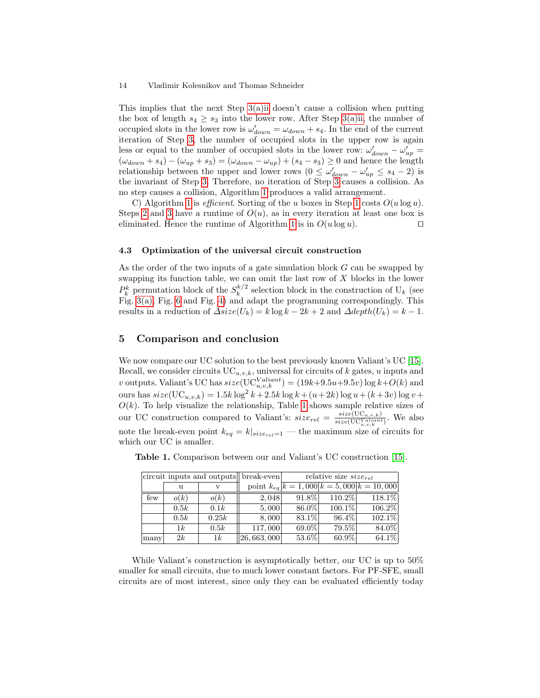This implies that the next Step [3\(a\)ii](#page-12-8) doesn't cause a collision when putting the box of length  $s_4 \geq s_3$  into the lower row. After Step [3\(a\)ii,](#page-12-8) the number of occupied slots in the lower row is  $\omega'_{down} = \omega_{down} + s_4$ . In the end of the current iteration of Step [3,](#page-12-4) the number of occupied slots in the upper row is again less or equal to the number of occupied slots in the lower row:  $\omega'_{down} - \omega'_{up} =$  $(\omega_{down} + s_4) - (\omega_{up} + s_3) = (\omega_{down} - \omega_{up}) + (s_4 - s_3) \ge 0$  and hence the length relationship between the upper and lower rows  $(0 \le \omega'_{down} - \omega'_{up} \le s_4 - 2)$  is the invariant of Step [3.](#page-12-4) Therefore, no iteration of Step [3](#page-12-4) causes a collision. As no step causes a collision, Algorithm [1](#page-11-0) produces a valid arrangement.

C) Algorithm [1](#page-12-9) is *efficient*. Sorting of the u boxes in Step 1 costs  $O(u \log u)$ . Steps [2](#page-12-1) and [3](#page-12-4) have a runtime of  $O(u)$ , as in every iteration at least one box is eliminated. Hence the runtime of Algorithm [1](#page-11-0) is in  $O(u \log u)$ .

### <span id="page-13-2"></span>4.3 Optimization of the universal circuit construction

As the order of the two inputs of a gate simulation block G can be swapped by swapping its function table, we can omit the last row of  $X$  blocks in the lower  $P_k^k$  permutation block of the  $S_k^{k/2}$  $\frac{k}{k}$  selection block in the construction of  $U_k$  (see Fig. [3\(a\),](#page-5-0) Fig. [6](#page-10-0) and Fig. [4\)](#page-8-0) and adapt the programming correspondingly. This results in a reduction of  $\Delta size(U_k) = k \log k - 2k + 2$  and  $\Delta depth(U_k) = k - 1$ .

### <span id="page-13-1"></span>5 Comparison and conclusion

We now compare our UC solution to the best previously known Valiant's UC [\[15\]](#page-14-3). Recall, we consider circuits  $UC_{u,v,k}$ , universal for circuits of k gates, u inputs and v outputs. Valiant's UC has  $size(\mathrm{UC}_{u,v,k}^{Valiant}) = (19k+9.5u+9.5v) \log k + O(k)$  and ours has  $size(\mathrm{UC}_{u,v,k}) = 1.5k \log^2 k + 2.5k \log k + (u+2k) \log u + (k+3v) \log v +$  $O(k)$ . To help visualize the relationship, Table [1](#page-13-0) shows sample relative sizes of our UC construction compared to Valiant's:  $size_{rel} = \frac{size(\text{UC}_{u,v,k})}{size(\text{UC}_{l\_quant}}$  $\frac{size(\mathrm{UC}_{u,v,k})}{size(\mathrm{UC}_{u,v,k}^{Valiant})}$ . We also note the break-even point  $k_{eq} = k|_{size_{rel}=1}$  — the maximum size of circuits for which our UC is smaller.

|      |      |       | circuit inputs and outputs break-even | relative size $size_{rel}$ |           |                                                      |
|------|------|-------|---------------------------------------|----------------------------|-----------|------------------------------------------------------|
|      | u    | V     |                                       |                            |           | point $k_{eq}$ $\overline{k=1,000 k=5,000 k=10,000}$ |
| few  | o(k) | o(k)  | 2,048                                 | 91.8%                      | 110.2%    | 118.1%                                               |
|      | 0.5k | 0.1k  | 5,000                                 | 86.0%                      | $100.1\%$ | 106.2%                                               |
|      | 0.5k | 0.25k | 8,000                                 | 83.1%                      | $96.4\%$  | $102.1\%$                                            |
|      | 1k   | 0.5k  | 117,000                               | 69.0%                      | 79.5%     | 84.0%                                                |
| many | 2k   | 1k    | [26, 663, 000]                        | 53.6%                      | $60.9\%$  | 64.1%                                                |

<span id="page-13-0"></span>Table 1. Comparison between our and Valiant's UC construction [\[15\]](#page-14-3).

While Valiant's construction is asymptotically better, our UC is up to  $50\%$ smaller for small circuits, due to much lower constant factors. For PF-SFE, small circuits are of most interest, since only they can be evaluated efficiently today